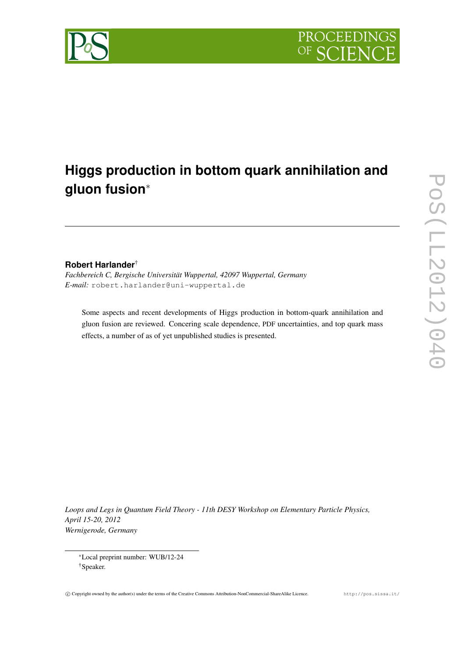

# **Higgs production in bottom quark annihilation and gluon fusion**<sup>∗</sup>

# **Robert Harlander**†

*Fachbereich C, Bergische Universität Wuppertal, 42097 Wuppertal, Germany E-mail:* robert.harlander@uni-wuppertal.de

Some aspects and recent developments of Higgs production in bottom-quark annihilation and gluon fusion are reviewed. Concering scale dependence, PDF uncertainties, and top quark mass effects, a number of as of yet unpublished studies is presented.

*Loops and Legs in Quantum Field Theory - 11th DESY Workshop on Elementary Particle Physics, April 15-20, 2012 Wernigerode, Germany*

<sup>∗</sup>Local preprint number: WUB/12-24 †Speaker.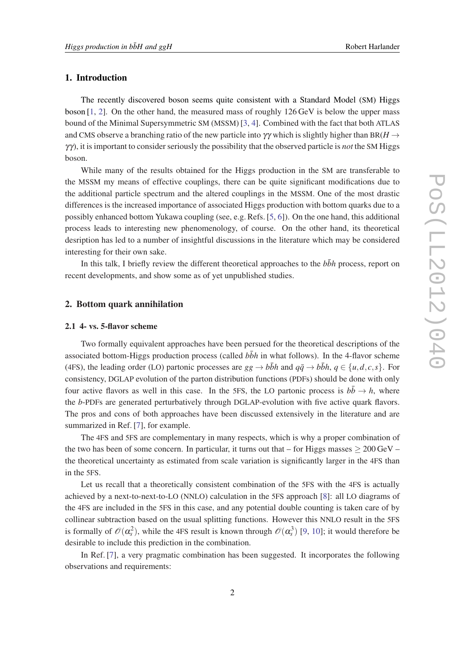## 1. Introduction

The recently discovered boson seems quite consistent with a Standard Model (SM) Higgs boson  $[1, 2]$  $[1, 2]$  $[1, 2]$  $[1, 2]$ . On the other hand, the measured mass of roughly  $126 \text{ GeV}$  is below the upper mass bound of the Minimal Supersymmetric SM (MSSM) [\[3,](#page-7-0) [4](#page-7-0)]. Combined with the fact that both ATLAS and CMS observe a branching ratio of the new particle into  $\gamma\gamma$  which is slightly higher than BR( $H \rightarrow$ γγ), it is important to consider seriously the possibility that the observed particle is *not* the SM Higgs boson.

While many of the results obtained for the Higgs production in the SM are transferable to the MSSM my means of effective couplings, there can be quite significant modifications due to the additional particle spectrum and the altered couplings in the MSSM. One of the most drastic differences is the increased importance of associated Higgs production with bottom quarks due to a possibly enhanced bottom Yukawa coupling (see, e.g. Refs. [\[5,](#page-7-0) [6](#page-7-0)]). On the one hand, this additional process leads to interesting new phenomenology, of course. On the other hand, its theoretical desription has led to a number of insightful discussions in the literature which may be considered interesting for their own sake.

In this talk, I briefly review the different theoretical approaches to the *bbh* process, report on recent developments, and show some as of yet unpublished studies.

### 2. Bottom quark annihilation

#### 2.1 4- vs. 5-flavor scheme

Two formally equivalent approaches have been persued for the theoretical descriptions of the associated bottom-Higgs production process (called  $b\bar{b}h$  in what follows). In the 4-flavor scheme (4FS), the leading order (LO) partonic processes are  $gg \rightarrow b\bar{b}h$  and  $q\bar{q} \rightarrow b\bar{b}h$ ,  $q \in \{u, d, c, s\}$ . For consistency, DGLAP evolution of the parton distribution functions (PDFs) should be done with only four active flavors as well in this case. In the 5FS, the LO partonic process is  $b\bar{b} \rightarrow h$ , where the *b*-PDFs are generated perturbatively through DGLAP-evolution with five active quark flavors. The pros and cons of both approaches have been discussed extensively in the literature and are summarized in Ref. [[7\]](#page-7-0), for example.

The 4FS and 5FS are complementary in many respects, which is why a proper combination of the two has been of some concern. In particular, it turns out that – for Higgs masses  $> 200 \,\text{GeV}$  – the theoretical uncertainty as estimated from scale variation is significantly larger in the 4FS than in the 5FS.

Let us recall that a theoretically consistent combination of the 5FS with the 4FS is actually achieved by a next-to-next-to-LO (NNLO) calculation in the 5FS approach [[8\]](#page-7-0): all LO diagrams of the 4FS are included in the 5FS in this case, and any potential double counting is taken care of by collinear subtraction based on the usual splitting functions. However this NNLO result in the 5FS is formally of  $\mathcal{O}(\alpha_s^2)$ , while the 4FS result is known through  $\mathcal{O}(\alpha_s^3)$  [[9](#page-7-0), [10](#page-7-0)]; it would therefore be desirable to include this prediction in the combination.

In Ref. [\[7\]](#page-7-0), a very pragmatic combination has been suggested. It incorporates the following observations and requirements: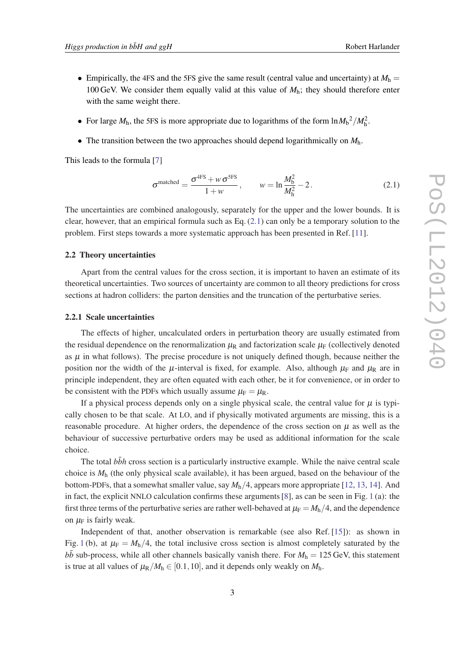- Empirically, the 4FS and the 5FS give the same result (central value and uncertainty) at  $M<sub>h</sub>$  = 100 GeV. We consider them equally valid at this value of *M*h; they should therefore enter with the same weight there.
- For large  $M_h$ , the 5FS is more appropriate due to logarithms of the form  $\ln M_b^2/M_h^2$ .
- The transition between the two approaches should depend logarithmically on  $M_h$ .

This leads to the formula [[7](#page-7-0)]

$$
\sigma^{\text{matched}} = \frac{\sigma^{\text{4FS}} + w \sigma^{\text{5FS}}}{1 + w}, \qquad w = \ln \frac{M_b^2}{M_h^2} - 2. \tag{2.1}
$$

The uncertainties are combined analogously, separately for the upper and the lower bounds. It is clear, however, that an empirical formula such as Eq.  $(2.1)$  can only be a temporary solution to the problem. First steps towards a more systematic approach has been presented in Ref. [\[11](#page-7-0)].

#### 2.2 Theory uncertainties

Apart from the central values for the cross section, it is important to haven an estimate of its theoretical uncertainties. Two sources of uncertainty are common to all theory predictions for cross sections at hadron colliders: the parton densities and the truncation of the perturbative series.

#### 2.2.1 Scale uncertainties

The effects of higher, uncalculated orders in perturbation theory are usually estimated from the residual dependence on the renormalization  $\mu_R$  and factorization scale  $\mu_F$  (collectively denoted as  $\mu$  in what follows). The precise procedure is not uniquely defined though, because neither the position nor the width of the  $\mu$ -interval is fixed, for example. Also, although  $\mu_F$  and  $\mu_R$  are in principle independent, they are often equated with each other, be it for convenience, or in order to be consistent with the PDFs which usually assume  $\mu_F = \mu_R$ .

If a physical process depends only on a single physical scale, the central value for  $\mu$  is typically chosen to be that scale. At LO, and if physically motivated arguments are missing, this is a reasonable procedure. At higher orders, the dependence of the cross section on  $\mu$  as well as the behaviour of successive perturbative orders may be used as additional information for the scale choice.

The total  $b\bar{b}h$  cross section is a particularly instructive example. While the naive central scale choice is *M*<sup>h</sup> (the only physical scale available), it has been argued, based on the behaviour of the bottom-PDFs, that a somewhat smaller value, say *M*h/4, appears more appropriate [\[12,](#page-7-0) [13,](#page-7-0) [14\]](#page-7-0). And in fact, the explicit NNLO calculation confirms these arguments [[8](#page-7-0)], as can be seen in Fig. [1](#page-4-0) (a): the first three terms of the perturbative series are rather well-behaved at  $\mu_F = M_h/4$ , and the dependence on  $\mu_F$  is fairly weak.

Independent of that, another observation is remarkable (see also Ref. [[15\]](#page-7-0)): as shown in Fig. [1](#page-4-0) (b), at  $\mu_F = M_h/4$ , the total inclusive cross section is almost completely saturated by the  $b\bar{b}$  sub-process, while all other channels basically vanish there. For  $M_h = 125$  GeV, this statement is true at all values of  $\mu_R/M_h \in [0.1, 10]$ , and it depends only weakly on  $M_h$ .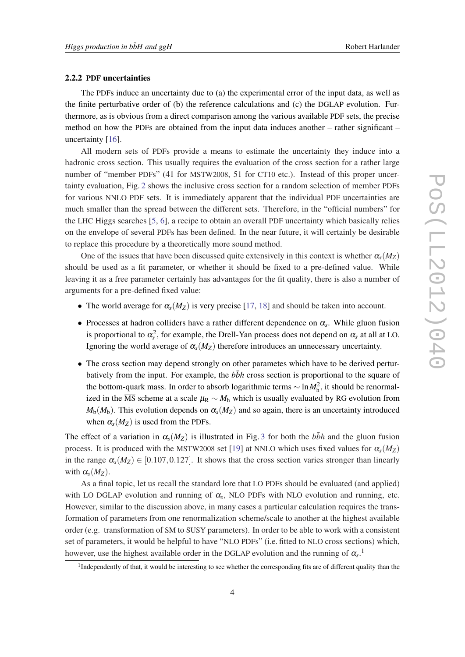#### 2.2.2 PDF uncertainties

The PDFs induce an uncertainty due to (a) the experimental error of the input data, as well as the finite perturbative order of (b) the reference calculations and (c) the DGLAP evolution. Furthermore, as is obvious from a direct comparison among the various available PDF sets, the precise method on how the PDFs are obtained from the input data induces another – rather significant – uncertainty [[16\]](#page-7-0).

All modern sets of PDFs provide a means to estimate the uncertainty they induce into a hadronic cross section. This usually requires the evaluation of the cross section for a rather large number of "member PDFs" (41 for MSTW2008, 51 for CT10 etc.). Instead of this proper uncertainty evaluation, Fig. [2](#page-4-0) shows the inclusive cross section for a random selection of member PDFs for various NNLO PDF sets. It is immediately apparent that the individual PDF uncertainties are much smaller than the spread between the different sets. Therefore, in the "official numbers" for the LHC Higgs searches [\[5,](#page-7-0) [6\]](#page-7-0), a recipe to obtain an overall PDF uncertainty which basically relies on the envelope of several PDFs has been defined. In the near future, it will certainly be desirable to replace this procedure by a theoretically more sound method.

One of the issues that have been discussed quite extensively in this context is whether  $\alpha_s(M_Z)$ should be used as a fit parameter, or whether it should be fixed to a pre-defined value. While leaving it as a free parameter certainly has advantages for the fit quality, there is also a number of arguments for a pre-defined fixed value:

- The world average for  $\alpha_s(M_Z)$  is very precise [[17,](#page-8-0) [18](#page-8-0)] and should be taken into account.
- Processes at hadron colliders have a rather different dependence on α*<sup>s</sup>* . While gluon fusion is proportional to  $\alpha_s^2$ , for example, the Drell-Yan process does not depend on  $\alpha_s$  at all at LO. Ignoring the world average of  $\alpha_s(M_Z)$  therefore introduces an unnecessary uncertainty.
- The cross section may depend strongly on other parametes which have to be derived perturbatively from the input. For example, the *bbh* cross section is proportional to the square of the bottom-quark mass. In order to absorb logarithmic terms  $\sim \ln M_h^2$ , it should be renormalized in the MS scheme at a scale  $μ_R ∼ M_h$  which is usually evaluated by RG evolution from  $M_{\rm b}(M_{\rm b})$ . This evolution depends on  $\alpha_{\rm s}(M_{\rm Z})$  and so again, there is an uncertainty introduced when  $\alpha_s(M_Z)$  is used from the PDFs.

The effect of a variation in  $\alpha_s(M_Z)$  is illustrated in Fig. [3](#page-5-0) for both the *bbh* and the gluon fusion process. It is produced with the MSTW2008 set [\[19\]](#page-8-0) at NNLO which uses fixed values for  $\alpha_s(M_Z)$ in the range  $\alpha_s(M_Z) \in [0.107, 0.127]$ . It shows that the cross section varies stronger than linearly with  $\alpha_s(M_Z)$ .

As a final topic, let us recall the standard lore that LO PDFs should be evaluated (and applied) with LO DGLAP evolution and running of  $\alpha_s$ , NLO PDFs with NLO evolution and running, etc. However, similar to the discussion above, in many cases a particular calculation requires the transformation of parameters from one renormalization scheme/scale to another at the highest available order (e.g. transformation of SM to SUSY parameters). In order to be able to work with a consistent set of parameters, it would be helpful to have "NLO PDFs" (i.e. fitted to NLO cross sections) which, however, use the highest available order in the DGLAP evolution and the running of  $\alpha_s$ .<sup>1</sup>

<sup>&</sup>lt;sup>1</sup>Independently of that, it would be interesting to see whether the corresponding fits are of different quality than the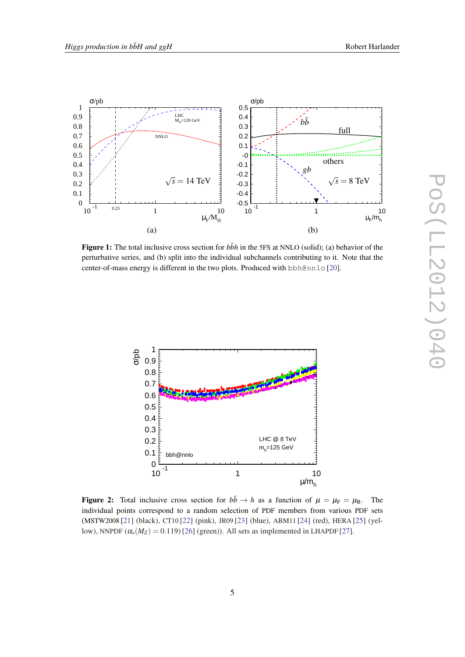<span id="page-4-0"></span>

**Figure 1:** The total inclusive cross section for  $b\bar{b}h$  in the 5FS at NNLO (solid); (a) behavior of the perturbative series, and (b) split into the individual subchannels contributing to it. Note that the center-of-mass energy is different in the two plots. Produced with bbh@nnlo [[20\]](#page-8-0).



**Figure 2:** Total inclusive cross section for  $b\bar{b} \rightarrow h$  as a function of  $\mu = \mu_F = \mu_R$ . The individual points correspond to a random selection of PDF members from various PDF sets (MSTW2008 [[21\]](#page-8-0) (black), CT10 [[22\]](#page-8-0) (pink), JR09 [[23\]](#page-8-0) (blue), ABM11 [\[24](#page-8-0)] (red), HERA [\[25](#page-8-0)] (yellow), NNPDF  $(\alpha_s(M_Z) = 0.119)$  [[26](#page-8-0)] (green)). All sets as implemented in LHAPDF [[27\]](#page-8-0).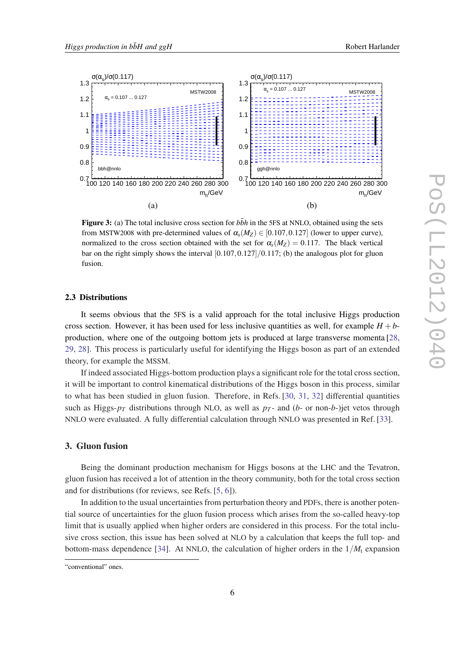<span id="page-5-0"></span>

**Figure 3:** (a) The total inclusive cross section for  $b\bar{b}h$  in the 5FS at NNLO, obtained using the sets from MSTW2008 with pre-determined values of  $\alpha_s(M_Z) \in [0.107, 0.127]$  (lower to upper curve), normalized to the cross section obtained with the set for  $\alpha_s(M_Z) = 0.117$ . The black vertical bar on the right simply shows the interval  $[0.107, 0.127]/0.117$ ; (b) the analogous plot for gluon fusion.

### 2.3 Distributions

It seems obvious that the 5FS is a valid approach for the total inclusive Higgs production cross section. However, it has been used for less inclusive quantities as well, for example  $H + b$ production, where one of the outgoing bottom jets is produced at large transverse momenta [\[28](#page-8-0), [29](#page-8-0), [28\]](#page-8-0). This process is particularly useful for identifying the Higgs boson as part of an extended theory, for example the MSSM.

If indeed associated Higgs-bottom production plays a significant role for the total cross section, it will be important to control kinematical distributions of the Higgs boson in this process, similar to what has been studied in gluon fusion. Therefore, in Refs. [[30,](#page-8-0) [31](#page-8-0), [32](#page-8-0)] differential quantities such as Higgs- $p_T$  distributions through NLO, as well as  $p_T$ - and (*b*- or non-*b*-)jet vetos through NNLO were evaluated. A fully differential calculation through NNLO was presented in Ref. [[33\]](#page-8-0).

### 3. Gluon fusion

Being the dominant production mechanism for Higgs bosons at the LHC and the Tevatron, gluon fusion has received a lot of attention in the theory community, both for the total cross section and for distributions (for reviews, see Refs. [\[5,](#page-7-0) [6](#page-7-0)]).

In addition to the usual uncertainties from perturbation theory and PDFs, there is another potential source of uncertainties for the gluon fusion process which arises from the so-called heavy-top limit that is usually applied when higher orders are considered in this process. For the total inclusive cross section, this issue has been solved at NLO by a calculation that keeps the full top- and bottom-mass dependence [\[34](#page-8-0)]. At NNLO, the calculation of higher orders in the  $1/M<sub>t</sub>$  expansion

<sup>&</sup>quot;conventional" ones.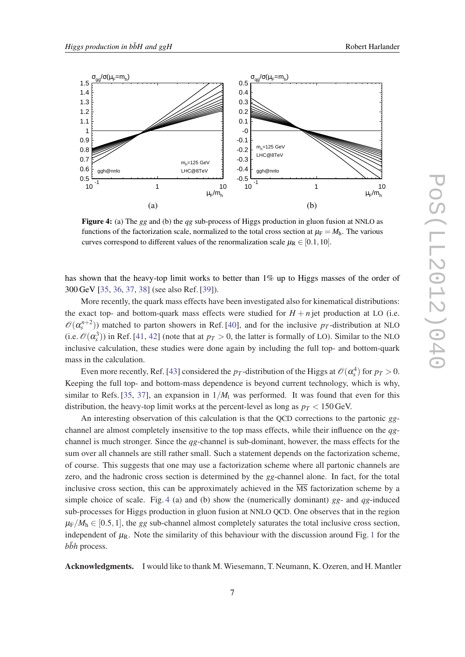

Figure 4: (a) The *gg* and (b) the *qg* sub-process of Higgs production in gluon fusion at NNLO as functions of the factorization scale, normalized to the total cross section at  $\mu_F = M_h$ . The various curves correspond to different values of the renormalization scale  $\mu_R \in [0.1, 10]$ .

has shown that the heavy-top limit works to better than 1% up to Higgs masses of the order of 300 GeV [\[35](#page-8-0), [36,](#page-9-0) [37](#page-9-0), [38](#page-9-0)] (see also Ref. [\[39](#page-9-0)]).

More recently, the quark mass effects have been investigated also for kinematical distributions: the exact top- and bottom-quark mass effects were studied for  $H + n$  jet production at LO (i.e.  $\mathcal{O}(\alpha_s^{n+2})$ ) matched to parton showers in Ref. [[40\]](#page-9-0), and for the inclusive *p<sub>T</sub>*-distribution at NLO (i.e.  $\mathcal{O}(\alpha_s^3)$ ) in Ref. [[41,](#page-9-0) [42\]](#page-9-0) (note that at  $p_T > 0$ , the latter is formally of LO). Similar to the NLO inclusive calculation, these studies were done again by including the full top- and bottom-quark mass in the calculation.

Even more recently, Ref. [\[43](#page-9-0)] considered the  $p_T$ -distribution of the Higgs at  $\mathcal{O}(\alpha_s^4)$  for  $p_T > 0$ . Keeping the full top- and bottom-mass dependence is beyond current technology, which is why, similar to Refs. [\[35](#page-8-0), [37\]](#page-9-0), an expansion in  $1/M_t$  was performed. It was found that even for this distribution, the heavy-top limit works at the percent-level as long as  $p<sub>T</sub> < 150$  GeV.

An interesting observation of this calculation is that the QCD corrections to the partonic *gg*channel are almost completely insensitive to the top mass effects, while their influence on the *qg*channel is much stronger. Since the *qg*-channel is sub-dominant, however, the mass effects for the sum over all channels are still rather small. Such a statement depends on the factorization scheme, of course. This suggests that one may use a factorization scheme where all partonic channels are zero, and the hadronic cross section is determined by the *gg*-channel alone. In fact, for the total inclusive cross section, this can be approximately achieved in the  $\overline{\text{MS}}$  factorization scheme by a simple choice of scale. Fig. 4 (a) and (b) show the (numerically dominant) *gg*- and *qg*-induced sub-processes for Higgs production in gluon fusion at NNLO QCD. One observes that in the region  $\mu_F/M_h \in [0.5, 1]$ , the *gg* sub-channel almost completely saturates the total inclusive cross section, independent of  $\mu_R$ . Note the similarity of this behaviour with the discussion around Fig. [1](#page-4-0) for the  $b\bar{b}h$  process.

Acknowledgments. I would like to thank M. Wiesemann, T. Neumann, K. Ozeren, and H. Mantler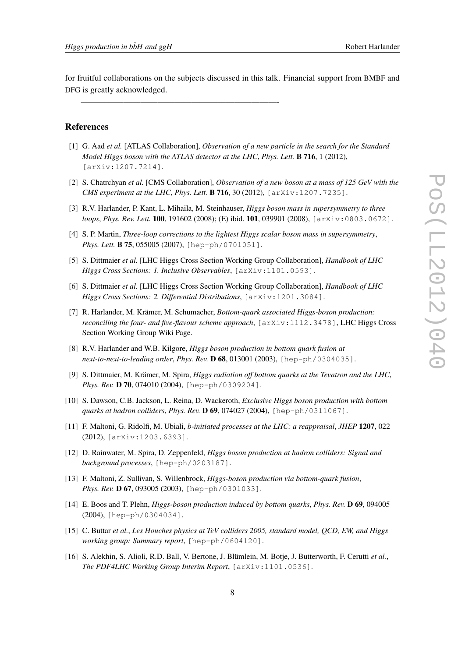<span id="page-7-0"></span>for fruitful collaborations on the subjects discussed in this talk. Financial support from BMBF and DFG is greatly acknowledged.

———————————————————————-

#### References

- [1] G. Aad *et al.* [ATLAS Collaboration], *Observation of a new particle in the search for the Standard Model Higgs boson with the ATLAS detector at the LHC*, *Phys. Lett.* B 716, 1 (2012), [arXiv:1207.7214].
- [2] S. Chatrchyan *et al.* [CMS Collaboration], *Observation of a new boson at a mass of 125 GeV with the CMS experiment at the LHC*, *Phys. Lett.* B 716, 30 (2012), [arXiv:1207.7235].
- [3] R.V. Harlander, P. Kant, L. Mihaila, M. Steinhauser, *Higgs boson mass in supersymmetry to three loops*, *Phys. Rev. Lett.* 100, 191602 (2008); (E) ibid. 101, 039901 (2008), [arXiv:0803.0672].
- [4] S. P. Martin, *Three-loop corrections to the lightest Higgs scalar boson mass in supersymmetry*, *Phys. Lett.* **B 75**, 055005 (2007), [hep-ph/0701051].
- [5] S. Dittmaier *et al.* [LHC Higgs Cross Section Working Group Collaboration], *Handbook of LHC Higgs Cross Sections: 1. Inclusive Observables*, [arXiv:1101.0593].
- [6] S. Dittmaier *et al.* [LHC Higgs Cross Section Working Group Collaboration], *Handbook of LHC Higgs Cross Sections: 2. Differential Distributions*, [arXiv:1201.3084].
- [7] R. Harlander, M. Krämer, M. Schumacher, *Bottom-quark associated Higgs-boson production: reconciling the four- and five-flavour scheme approach*, [arXiv:1112.3478], LHC Higgs Cross Section Working Group Wiki Page.
- [8] R.V. Harlander and W.B. Kilgore, *Higgs boson production in bottom quark fusion at next-to-next-to-leading order*, *Phys. Rev.* D 68, 013001 (2003), [hep-ph/0304035].
- [9] S. Dittmaier, M. Krämer, M. Spira, *Higgs radiation off bottom quarks at the Tevatron and the LHC*, *Phys. Rev.* D 70, 074010 (2004), [hep-ph/0309204].
- [10] S. Dawson, C.B. Jackson, L. Reina, D. Wackeroth, *Exclusive Higgs boson production with bottom quarks at hadron colliders*, *Phys. Rev.* D 69, 074027 (2004), [hep-ph/0311067].
- [11] F. Maltoni, G. Ridolfi, M. Ubiali, *b-initiated processes at the LHC: a reappraisal*, *JHEP* 1207, 022 (2012), [arXiv:1203.6393].
- [12] D. Rainwater, M. Spira, D. Zeppenfeld, *Higgs boson production at hadron colliders: Signal and background processes*, [hep-ph/0203187].
- [13] F. Maltoni, Z. Sullivan, S. Willenbrock, *Higgs-boson production via bottom-quark fusion*, *Phys. Rev.* D 67, 093005 (2003), [hep-ph/0301033].
- [14] E. Boos and T. Plehn, *Higgs-boson production induced by bottom quarks*, *Phys. Rev.* D 69, 094005 (2004), [hep-ph/0304034].
- [15] C. Buttar *et al.*, *Les Houches physics at TeV colliders 2005, standard model, QCD, EW, and Higgs working group: Summary report*, [hep-ph/0604120].
- [16] S. Alekhin, S. Alioli, R.D. Ball, V. Bertone, J. Blümlein, M. Botje, J. Butterworth, F. Cerutti *et al.*, *The PDF4LHC Working Group Interim Report*, [arXiv:1101.0536].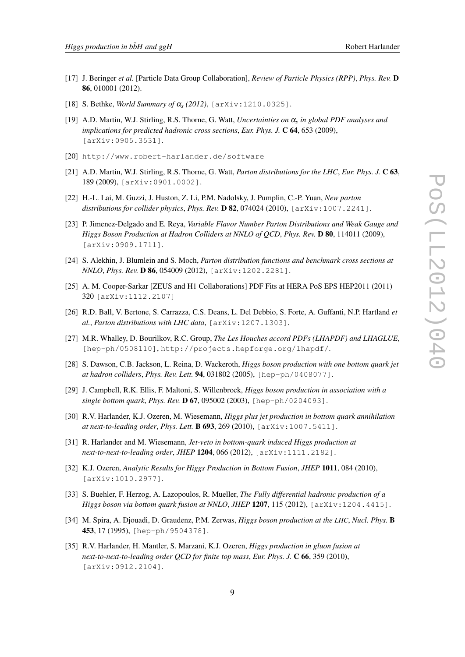- <span id="page-8-0"></span>[17] J. Beringer *et al.* [Particle Data Group Collaboration], *Review of Particle Physics (RPP)*, *Phys. Rev.* D 86, 010001 (2012).
- [18] S. Bethke, *World Summary of* α*<sup>s</sup> (2012)*, [arXiv:1210.0325].
- [19] A.D. Martin, W.J. Stirling, R.S. Thorne, G. Watt, *Uncertainties on* α*<sup>s</sup> in global PDF analyses and implications for predicted hadronic cross sections*, *Eur. Phys. J.* C 64, 653 (2009), [arXiv:0905.3531].
- [20] http://www.robert-harlander.de/software
- [21] A.D. Martin, W.J. Stirling, R.S. Thorne, G. Watt, *Parton distributions for the LHC*, *Eur. Phys. J.* C 63, 189 (2009), [arXiv:0901.0002].
- [22] H.-L. Lai, M. Guzzi, J. Huston, Z. Li, P.M. Nadolsky, J. Pumplin, C.-P. Yuan, *New parton distributions for collider physics*, *Phys. Rev.* D 82, 074024 (2010), [arXiv:1007.2241].
- [23] P. Jimenez-Delgado and E. Reya, *Variable Flavor Number Parton Distributions and Weak Gauge and Higgs Boson Production at Hadron Colliders at NNLO of QCD*, *Phys. Rev.* D 80, 114011 (2009), [arXiv:0909.1711].
- [24] S. Alekhin, J. Blumlein and S. Moch, *Parton distribution functions and benchmark cross sections at NNLO*, *Phys. Rev.* D 86, 054009 (2012), [arXiv:1202.2281].
- [25] A. M. Cooper-Sarkar [ZEUS and H1 Collaborations] PDF Fits at HERA PoS EPS HEP2011 (2011) 320 [arXiv:1112.2107]
- [26] R.D. Ball, V. Bertone, S. Carrazza, C.S. Deans, L. Del Debbio, S. Forte, A. Guffanti, N.P. Hartland *et al.*, *Parton distributions with LHC data*, [arXiv:1207.1303].
- [27] M.R. Whalley, D. Bourilkov, R.C. Group, *The Les Houches accord PDFs (LHAPDF) and LHAGLUE*, [hep-ph/0508110], http://projects.hepforge.org/lhapdf/.
- [28] S. Dawson, C.B. Jackson, L. Reina, D. Wackeroth, *Higgs boson production with one bottom quark jet at hadron colliders*, *Phys. Rev. Lett.* 94, 031802 (2005), [hep-ph/0408077].
- [29] J. Campbell, R.K. Ellis, F. Maltoni, S. Willenbrock, *Higgs boson production in association with a single bottom quark*, *Phys. Rev.* D 67, 095002 (2003), [hep-ph/0204093].
- [30] R.V. Harlander, K.J. Ozeren, M. Wiesemann, *Higgs plus jet production in bottom quark annihilation at next-to-leading order*, *Phys. Lett.* B 693, 269 (2010), [arXiv:1007.5411].
- [31] R. Harlander and M. Wiesemann, *Jet-veto in bottom-quark induced Higgs production at next-to-next-to-leading order*, *JHEP* 1204, 066 (2012), [arXiv:1111.2182].
- [32] K.J. Ozeren, *Analytic Results for Higgs Production in Bottom Fusion*, *JHEP* 1011, 084 (2010), [arXiv:1010.2977].
- [33] S. Buehler, F. Herzog, A. Lazopoulos, R. Mueller, *The Fully differential hadronic production of a Higgs boson via bottom quark fusion at NNLO*, *JHEP* 1207, 115 (2012), [arXiv:1204.4415].
- [34] M. Spira, A. Djouadi, D. Graudenz, P.M. Zerwas, *Higgs boson production at the LHC*, *Nucl. Phys.* B 453, 17 (1995), [hep-ph/9504378].
- [35] R.V. Harlander, H. Mantler, S. Marzani, K.J. Ozeren, *Higgs production in gluon fusion at next-to-next-to-leading order QCD for finite top mass*, *Eur. Phys. J.* C 66, 359 (2010), [arXiv:0912.2104].